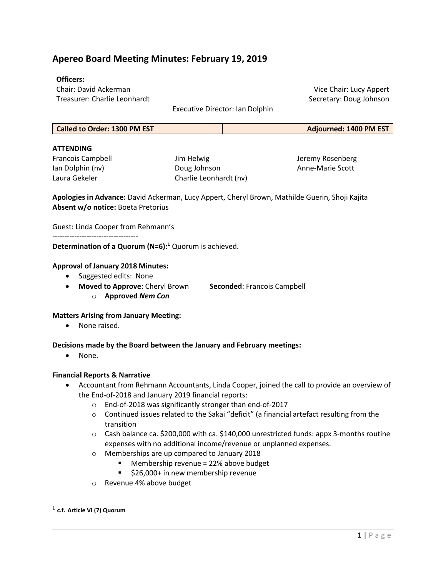# Apereo Board Meeting Minutes: February 19, 2019

### Officers:

Chair: David Ackerman Treasurer: Charlie Leonhardt

Executive Director: Ian Dolphin

Vice Chair: Lucy Appert Secretary: Doug Johnson

| <b>Called to Order: 1300 PM EST</b> | <b>Adjourned: 1400 PM EST</b> |
|-------------------------------------|-------------------------------|
|                                     |                               |

# **ATTENDING**

Francois Campbell Ian Dolphin (nv) Laura Gekeler

Jim Helwig Doug Johnson Charlie Leonhardt (nv) Jeremy Rosenberg Anne-Marie Scott

Apologies in Advance: David Ackerman, Lucy Appert, Cheryl Brown, Mathilde Guerin, Shoji Kajita Absent w/o notice: Boeta Pretorius

Guest: Linda Cooper from Rehmann's

-----------------------------------

Determination of a Quorum  $(N=6):$ <sup>1</sup> Quorum is achieved.

# Approval of January 2018 Minutes:

- Suggested edits: None
- Moved to Approve: Cheryl Brown Seconded: Francois Campbell o Approved Nem Con

# Matters Arising from January Meeting:

• None raised.

# Decisions made by the Board between the January and February meetings:

• None.

#### Financial Reports & Narrative

- Accountant from Rehmann Accountants, Linda Cooper, joined the call to provide an overview of the End-of-2018 and January 2019 financial reports:
	- o End-of-2018 was significantly stronger than end-of-2017
	- o Continued issues related to the Sakai "deficit" (a financial artefact resulting from the transition
	- $\circ$  Cash balance ca. \$200,000 with ca. \$140,000 unrestricted funds: appx 3-months routine expenses with no additional income/revenue or unplanned expenses.
	- o Memberships are up compared to January 2018
		- Membership revenue = 22% above budget
		- \$26,000+ in new membership revenue
	- o Revenue 4% above budget

 $^{\rm 1}$  c.f. Article VI (7) Quorum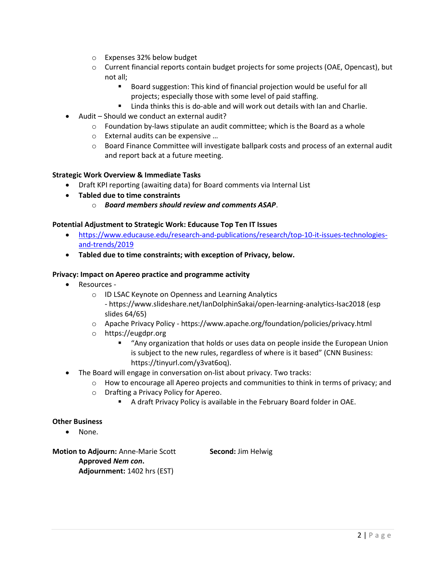- o Expenses 32% below budget
- $\circ$  Current financial reports contain budget projects for some projects (OAE, Opencast), but not all;
	- Board suggestion: This kind of financial projection would be useful for all projects; especially those with some level of paid staffing.
	- Linda thinks this is do-able and will work out details with Ian and Charlie.
- Audit Should we conduct an external audit?
	- $\circ$  Foundation by-laws stipulate an audit committee; which is the Board as a whole
	- o External audits can be expensive …
	- $\circ$  Board Finance Committee will investigate ballpark costs and process of an external audit and report back at a future meeting.

#### Strategic Work Overview & Immediate Tasks

- Draft KPI reporting (awaiting data) for Board comments via Internal List
- Tabled due to time constraints
	- $\circ$  Board members should review and comments ASAP.

# Potential Adjustment to Strategic Work: Educause Top Ten IT Issues

- https://www.educause.edu/research-and-publications/research/top-10-it-issues-technologiesand-trends/2019
- Tabled due to time constraints; with exception of Privacy, below.

#### Privacy: Impact on Apereo practice and programme activity

- Resources
	- o ID LSAC Keynote on Openness and Learning Analytics
		- https://www.slideshare.net/IanDolphinSakai/open-learning-analytics-lsac2018 (esp slides 64/65)
	- o Apache Privacy Policy https://www.apache.org/foundation/policies/privacy.html
	- o https://eugdpr.org
		- "Any organization that holds or uses data on people inside the European Union is subject to the new rules, regardless of where is it based" (CNN Business: https://tinyurl.com/y3vat6oq).
- The Board will engage in conversation on-list about privacy. Two tracks:
	- $\circ$  How to encourage all Apereo projects and communities to think in terms of privacy; and
	- o Drafting a Privacy Policy for Apereo.
		- A draft Privacy Policy is available in the February Board folder in OAE.

# Other Business

None.

Motion to Adjourn: Anne-Marie Scott Second: Jim Helwig Approved Nem con. Adjournment: 1402 hrs (EST)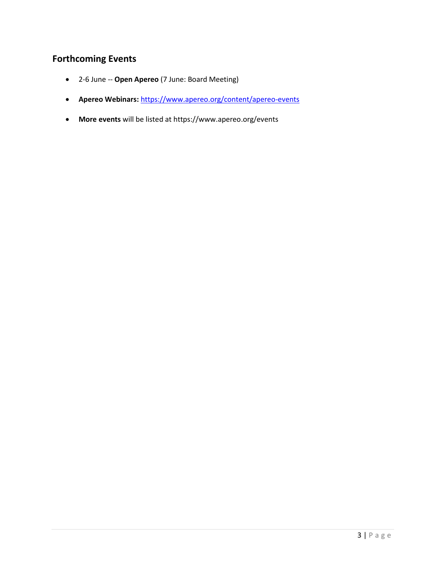# Forthcoming Events

- 2-6 June -- Open Apereo (7 June: Board Meeting)
- Apereo Webinars: https://www.apereo.org/content/apereo-events
- More events will be listed at https://www.apereo.org/events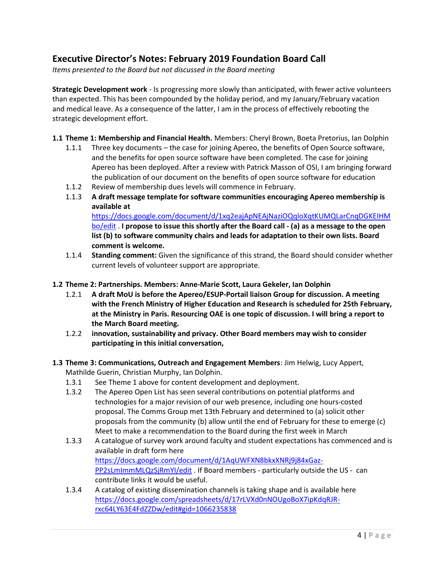# Executive Director's Notes: February 2019 Foundation Board Call

Items presented to the Board but not discussed in the Board meeting

Strategic Development work - Is progressing more slowly than anticipated, with fewer active volunteers than expected. This has been compounded by the holiday period, and my January/February vacation and medical leave. As a consequence of the latter, I am in the process of effectively rebooting the strategic development effort.

1.1 Theme 1: Membership and Financial Health. Members: Cheryl Brown, Boeta Pretorius, Ian Dolphin

- 1.1.1 Three key documents the case for joining Apereo, the benefits of Open Source software, and the benefits for open source software have been completed. The case for joining Apereo has been deployed. After a review with Patrick Masson of OSI, I am bringing forward the publication of our document on the benefits of open source software for education
- 1.1.2 Review of membership dues levels will commence in February.
- 1.1.3 A draft message template for software communities encouraging Apereo membership is available at

https://docs.google.com/document/d/1xq2eajApNEAjNaziOQqloXqtKUMQLarCnqDGKEIHM bo/edit . I propose to issue this shortly after the Board call - (a) as a message to the open list (b) to software community chairs and leads for adaptation to their own lists. Board comment is welcome.

- 1.1.4 Standing comment: Given the significance of this strand, the Board should consider whether current levels of volunteer support are appropriate.
- 1.2 Theme 2: Partnerships. Members: Anne-Marie Scott, Laura Gekeler, Ian Dolphin
	- 1.2.1 A draft MoU is before the Apereo/ESUP-Portail liaison Group for discussion. A meeting with the French Ministry of Higher Education and Research is scheduled for 25th February, at the Ministry in Paris. Resourcing OAE is one topic of discussion. I will bring a report to the March Board meeting.
	- 1.2.2 innovation, sustainability and privacy. Other Board members may wish to consider participating in this initial conversation,
- 1.3 Theme 3: Communications, Outreach and Engagement Members: Jim Helwig, Lucy Appert, Mathilde Guerin, Christian Murphy, Ian Dolphin.
	- 1.3.1 See Theme 1 above for content development and deployment.
	- 1.3.2 The Apereo Open List has seen several contributions on potential platforms and technologies for a major revision of our web presence, including one hours-costed proposal. The Comms Group met 13th February and determined to (a) solicit other proposals from the community (b) allow until the end of February for these to emerge (c) Meet to make a recommendation to the Board during the first week in March
	- 1.3.3 A catalogue of survey work around faculty and student expectations has commenced and is available in draft form here https://docs.google.com/document/d/1AqUWFXN8bkxXNRj9j84xGaz-PP2sLmImmMLQzSjRmYI/edit . If Board members - particularly outside the US - can contribute links it would be useful.
	- 1.3.4 A catalog of existing dissemination channels is taking shape and is available here https://docs.google.com/spreadsheets/d/17rLVXd0nNOUgoBoX7ipKdqRJRrxc64LY63E4FdZZDw/edit#gid=1066235838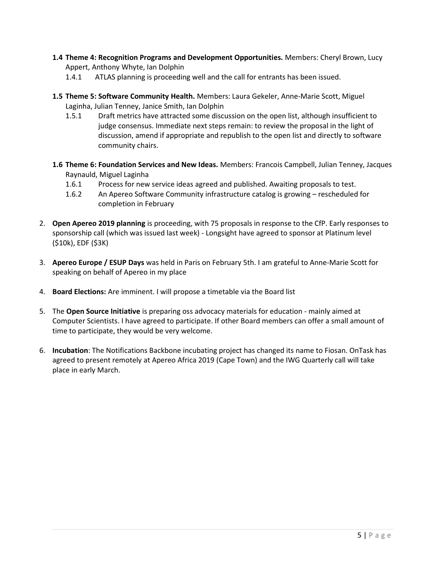- 1.4 Theme 4: Recognition Programs and Development Opportunities. Members: Cheryl Brown, Lucy Appert, Anthony Whyte, Ian Dolphin
	- 1.4.1 ATLAS planning is proceeding well and the call for entrants has been issued.
- 1.5 Theme 5: Software Community Health. Members: Laura Gekeler, Anne-Marie Scott, Miguel Laginha, Julian Tenney, Janice Smith, Ian Dolphin
	- 1.5.1 Draft metrics have attracted some discussion on the open list, although insufficient to judge consensus. Immediate next steps remain: to review the proposal in the light of discussion, amend if appropriate and republish to the open list and directly to software community chairs.
- 1.6 Theme 6: Foundation Services and New Ideas. Members: Francois Campbell, Julian Tenney, Jacques Raynauld, Miguel Laginha
	- 1.6.1 Process for new service ideas agreed and published. Awaiting proposals to test.
	- 1.6.2 An Apereo Software Community infrastructure catalog is growing rescheduled for completion in February
- 2. Open Apereo 2019 planning is proceeding, with 75 proposals in response to the CfP. Early responses to sponsorship call (which was issued last week) - Longsight have agreed to sponsor at Platinum level (\$10k), EDF (\$3K)
- 3. Apereo Europe / ESUP Days was held in Paris on February 5th. I am grateful to Anne-Marie Scott for speaking on behalf of Apereo in my place
- 4. Board Elections: Are imminent. I will propose a timetable via the Board list
- 5. The Open Source Initiative is preparing oss advocacy materials for education mainly aimed at Computer Scientists. I have agreed to participate. If other Board members can offer a small amount of time to participate, they would be very welcome.
- 6. Incubation: The Notifications Backbone incubating project has changed its name to Fiosan. OnTask has agreed to present remotely at Apereo Africa 2019 (Cape Town) and the IWG Quarterly call will take place in early March.